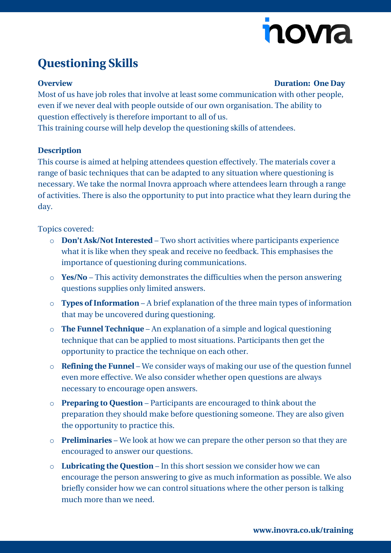# novia

## **Questioning Skills**

#### **Overview Duration: One Day**

Most of us have job roles that involve at least some communication with other people, even if we never deal with people outside of our own organisation. The ability to question effectively is therefore important to all of us.

This training course will help develop the questioning skills of attendees.

#### **Description**

This course is aimed at helping attendees question effectively. The materials cover a range of basic techniques that can be adapted to any situation where questioning is necessary. We take the normal Inovra approach where attendees learn through a range of activities. There is also the opportunity to put into practice what they learn during the day.

### Topics covered:

- o **Don't Ask/Not Interested** Two short activities where participants experience what it is like when they speak and receive no feedback. This emphasises the importance of questioning during communications.
- o **Yes/No** This activity demonstrates the difficulties when the person answering questions supplies only limited answers.
- o **Types of Information** A brief explanation of the three main types of information that may be uncovered during questioning.
- o **The Funnel Technique** An explanation of a simple and logical questioning technique that can be applied to most situations. Participants then get the opportunity to practice the technique on each other.
- o **Refining the Funnel** We consider ways of making our use of the question funnel even more effective. We also consider whether open questions are always necessary to encourage open answers.
- o **Preparing to Question** Participants are encouraged to think about the preparation they should make before questioning someone. They are also given the opportunity to practice this.
- o **Preliminaries** We look at how we can prepare the other person so that they are encouraged to answer our questions.
- o **Lubricating the Question** In this short session we consider how we can encourage the person answering to give as much information as possible. We also briefly consider how we can control situations where the other person is talking much more than we need.